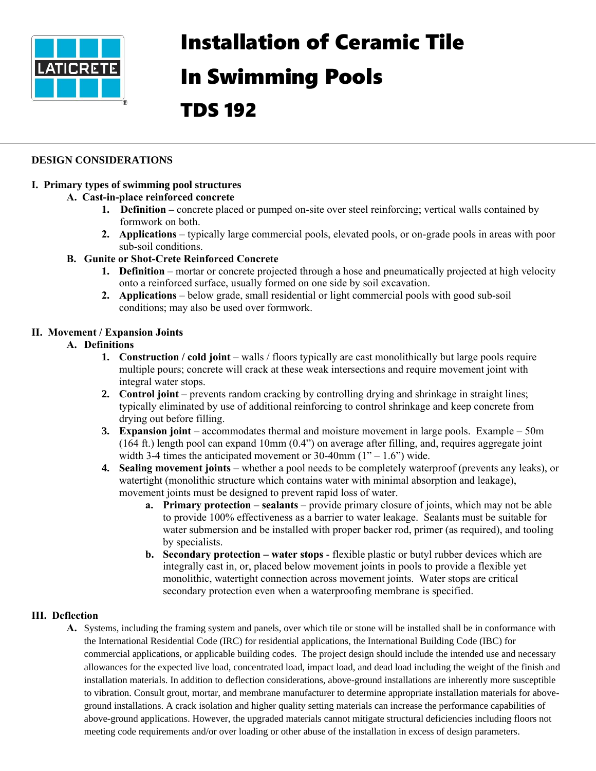

# Installation of Ceramic Tile

# In Swimming Pools

# TDS 192

# **DESIGN CONSIDERATIONS**

# **I. Primary types of swimming pool structures**

# **A. Cast-in-place reinforced concrete**

- **1. Definition** concrete placed or pumped on-site over steel reinforcing; vertical walls contained by formwork on both.
- **2. Applications**  typically large commercial pools, elevated pools, or on-grade pools in areas with poor sub-soil conditions.

# **B. Gunite or Shot-Crete Reinforced Concrete**

- **1. Definition** mortar or concrete projected through a hose and pneumatically projected at high velocity onto a reinforced surface, usually formed on one side by soil excavation.
- **2. Applications** below grade, small residential or light commercial pools with good sub-soil conditions; may also be used over formwork.

# **II. Movement / Expansion Joints**

# **A. Definitions**

- **1. Construction** / **cold joint** walls / floors typically are cast monolithically but large pools require multiple pours; concrete will crack at these weak intersections and require movement joint with integral water stops.
- **2. Control joint**  prevents random cracking by controlling drying and shrinkage in straight lines; typically eliminated by use of additional reinforcing to control shrinkage and keep concrete from drying out before filling.
- **3. Expansion joint**  accommodates thermal and moisture movement in large pools. Example 50m (164 ft.) length pool can expand 10mm (0.4") on average after filling, and, requires aggregate joint width 3-4 times the anticipated movement or 30-40mm  $(1" - 1.6")$  wide.
- **4. Sealing movement joints**  whether a pool needs to be completely waterproof (prevents any leaks), or watertight (monolithic structure which contains water with minimal absorption and leakage), movement joints must be designed to prevent rapid loss of water.
	- **a. Primary protection – sealants** provide primary closure of joints, which may not be able to provide 100% effectiveness as a barrier to water leakage. Sealants must be suitable for water submersion and be installed with proper backer rod, primer (as required), and tooling by specialists.
	- **b. Secondary protection water stops** flexible plastic or butyl rubber devices which are integrally cast in, or, placed below movement joints in pools to provide a flexible yet monolithic, watertight connection across movement joints. Water stops are critical secondary protection even when a waterproofing membrane is specified.

# **III. Deflection**

**A.** Systems, including the framing system and panels, over which tile or stone will be installed shall be in conformance with the International Residential Code (IRC) for residential applications, the International Building Code (IBC) for commercial applications, or applicable building codes. The project design should include the intended use and necessary allowances for the expected live load, concentrated load, impact load, and dead load including the weight of the finish and installation materials. In addition to deflection considerations, above-ground installations are inherently more susceptible to vibration. Consult grout, mortar, and membrane manufacturer to determine appropriate installation materials for aboveground installations. A crack isolation and higher quality setting materials can increase the performance capabilities of above-ground applications. However, the upgraded materials cannot mitigate structural deficiencies including floors not meeting code requirements and/or over loading or other abuse of the installation in excess of design parameters.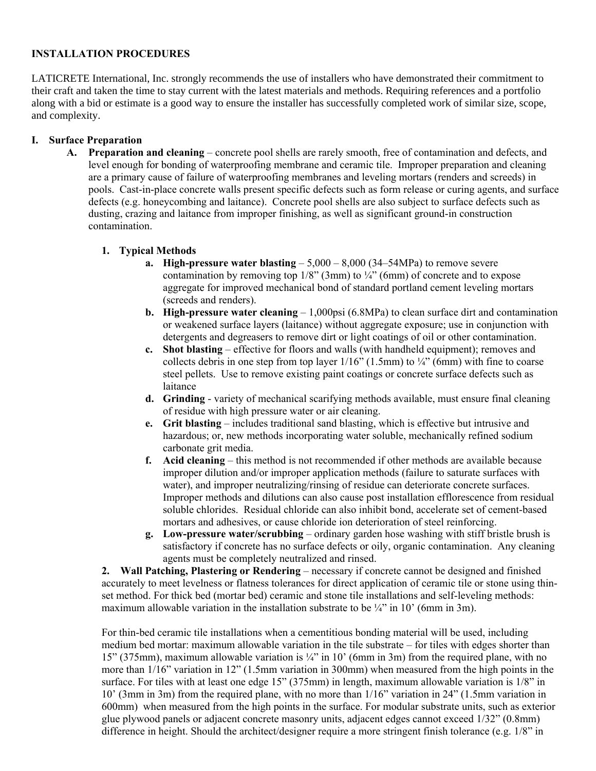# **INSTALLATION PROCEDURES**

LATICRETE International, Inc. strongly recommends the use of installers who have demonstrated their commitment to their craft and taken the time to stay current with the latest materials and methods. Requiring references and a portfolio along with a bid or estimate is a good way to ensure the installer has successfully completed work of similar size, scope, and complexity.

#### **I. Surface Preparation**

**A. Preparation and cleaning** – concrete pool shells are rarely smooth, free of contamination and defects, and level enough for bonding of waterproofing membrane and ceramic tile. Improper preparation and cleaning are a primary cause of failure of waterproofing membranes and leveling mortars (renders and screeds) in pools. Cast-in-place concrete walls present specific defects such as form release or curing agents, and surface defects (e.g. honeycombing and laitance). Concrete pool shells are also subject to surface defects such as dusting, crazing and laitance from improper finishing, as well as significant ground-in construction contamination.

#### **1. Typical Methods**

- **a. High-pressure water blasting**  5,000 8,000 (34–54MPa) to remove severe contamination by removing top  $1/8$ " (3mm) to  $\frac{1}{4}$ " (6mm) of concrete and to expose aggregate for improved mechanical bond of standard portland cement leveling mortars (screeds and renders).
- **b. High-pressure water cleaning** 1,000psi (6.8MPa) to clean surface dirt and contamination or weakened surface layers (laitance) without aggregate exposure; use in conjunction with detergents and degreasers to remove dirt or light coatings of oil or other contamination.
- **c. Shot blasting** effective for floors and walls (with handheld equipment); removes and collects debris in one step from top layer  $1/16$ " (1.5mm) to  $\frac{1}{4}$ " (6mm) with fine to coarse steel pellets. Use to remove existing paint coatings or concrete surface defects such as laitance
- **d. Grinding**  variety of mechanical scarifying methods available, must ensure final cleaning of residue with high pressure water or air cleaning.
- **e. Grit blasting** includes traditional sand blasting, which is effective but intrusive and hazardous; or, new methods incorporating water soluble, mechanically refined sodium carbonate grit media.
- **f. Acid cleaning**  this method is not recommended if other methods are available because improper dilution and/or improper application methods (failure to saturate surfaces with water), and improper neutralizing/rinsing of residue can deteriorate concrete surfaces. Improper methods and dilutions can also cause post installation efflorescence from residual soluble chlorides. Residual chloride can also inhibit bond, accelerate set of cement-based mortars and adhesives, or cause chloride ion deterioration of steel reinforcing.
- **g. Low-pressure water/scrubbing** ordinary garden hose washing with stiff bristle brush is satisfactory if concrete has no surface defects or oily, organic contamination. Any cleaning agents must be completely neutralized and rinsed.

**2. Wall Patching, Plastering or Rendering** – necessary if concrete cannot be designed and finished accurately to meet levelness or flatness tolerances for direct application of ceramic tile or stone using thinset method. For thick bed (mortar bed) ceramic and stone tile installations and self-leveling methods: maximum allowable variation in the installation substrate to be  $\frac{1}{4}$ " in 10' (6mm in 3m).

For thin-bed ceramic tile installations when a cementitious bonding material will be used, including medium bed mortar: maximum allowable variation in the tile substrate – for tiles with edges shorter than 15" (375mm), maximum allowable variation is ¼" in 10' (6mm in 3m) from the required plane, with no more than 1/16" variation in 12" (1.5mm variation in 300mm) when measured from the high points in the surface. For tiles with at least one edge 15" (375mm) in length, maximum allowable variation is 1/8" in 10' (3mm in 3m) from the required plane, with no more than 1/16" variation in 24" (1.5mm variation in 600mm) when measured from the high points in the surface. For modular substrate units, such as exterior glue plywood panels or adjacent concrete masonry units, adjacent edges cannot exceed 1/32" (0.8mm) difference in height. Should the architect/designer require a more stringent finish tolerance (e.g. 1/8" in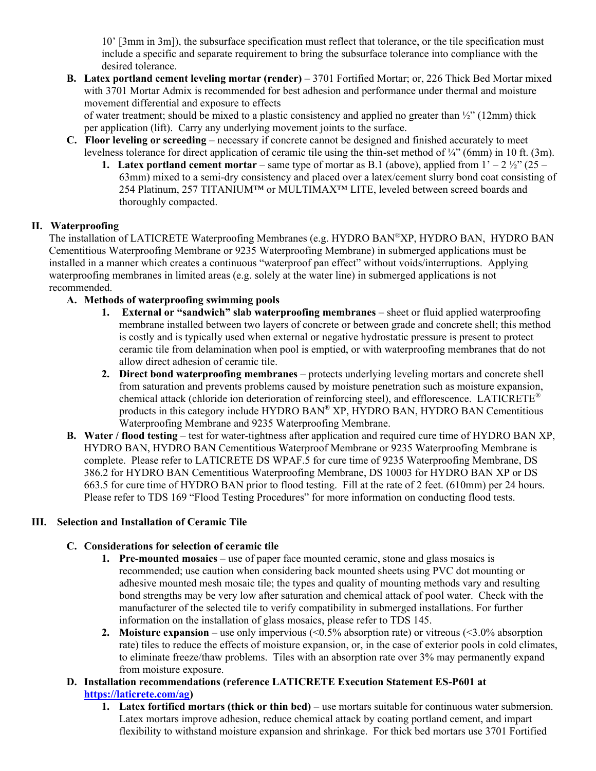10' [3mm in 3m]), the subsurface specification must reflect that tolerance, or the tile specification must include a specific and separate requirement to bring the subsurface tolerance into compliance with the desired tolerance.

**B. Latex portland cement leveling mortar (render)** – 3701 Fortified Mortar; or, 226 Thick Bed Mortar mixed with 3701 Mortar Admix is recommended for best adhesion and performance under thermal and moisture movement differential and exposure to effects

of water treatment; should be mixed to a plastic consistency and applied no greater than  $\frac{1}{2}$ " (12mm) thick per application (lift). Carry any underlying movement joints to the surface.

- **C. Floor leveling or screeding**  necessary if concrete cannot be designed and finished accurately to meet levelness tolerance for direct application of ceramic tile using the thin-set method of  $\frac{1}{4}$ " (6mm) in 10 ft. (3m).
	- **1. Latex portland cement mortar** same type of mortar as B.1 (above), applied from  $1' 2 \frac{1}{2}$  (25 63mm) mixed to a semi-dry consistency and placed over a latex/cement slurry bond coat consisting of 254 Platinum, 257 TITANIUM™ or MULTIMAX™ LITE, leveled between screed boards and thoroughly compacted.

# **II. Waterproofing**

The installation of LATICRETE Waterproofing Membranes (e.g. HYDRO BAN®XP, HYDRO BAN, HYDRO BAN Cementitious Waterproofing Membrane or 9235 Waterproofing Membrane) in submerged applications must be installed in a manner which creates a continuous "waterproof pan effect" without voids/interruptions. Applying waterproofing membranes in limited areas (e.g. solely at the water line) in submerged applications is not recommended.

#### **A. Methods of waterproofing swimming pools**

- **1. External or "sandwich" slab waterproofing membranes** sheet or fluid applied waterproofing membrane installed between two layers of concrete or between grade and concrete shell; this method is costly and is typically used when external or negative hydrostatic pressure is present to protect ceramic tile from delamination when pool is emptied, or with waterproofing membranes that do not allow direct adhesion of ceramic tile.
- **2. Direct bond waterproofing membranes**  protects underlying leveling mortars and concrete shell from saturation and prevents problems caused by moisture penetration such as moisture expansion, chemical attack (chloride ion deterioration of reinforcing steel), and efflorescence. LATICRETE® products in this category include HYDRO BAN® XP, HYDRO BAN, HYDRO BAN Cementitious Waterproofing Membrane and 9235 Waterproofing Membrane.
- **B. Water / flood testing** test for water-tightness after application and required cure time of HYDRO BAN XP, HYDRO BAN, HYDRO BAN Cementitious Waterproof Membrane or 9235 Waterproofing Membrane is complete. Please refer to LATICRETE DS WPAF.5 for cure time of 9235 Waterproofing Membrane, DS 386.2 for HYDRO BAN Cementitious Waterproofing Membrane, DS 10003 for HYDRO BAN XP or DS 663.5 for cure time of HYDRO BAN prior to flood testing. Fill at the rate of 2 feet. (610mm) per 24 hours. Please refer to TDS 169 "Flood Testing Procedures" for more information on conducting flood tests.

#### **III. Selection and Installation of Ceramic Tile**

# **C. Considerations for selection of ceramic tile**

- **1. Pre-mounted mosaics** use of paper face mounted ceramic, stone and glass mosaics is recommended; use caution when considering back mounted sheets using PVC dot mounting or adhesive mounted mesh mosaic tile; the types and quality of mounting methods vary and resulting bond strengths may be very low after saturation and chemical attack of pool water. Check with the manufacturer of the selected tile to verify compatibility in submerged installations. For further information on the installation of glass mosaics, please refer to TDS 145.
- **2. Moisture expansion** use only impervious (<0.5% absorption rate) or vitreous (<3.0% absorption rate) tiles to reduce the effects of moisture expansion, or, in the case of exterior pools in cold climates, to eliminate freeze/thaw problems. Tiles with an absorption rate over 3% may permanently expand from moisture exposure.
- **D. Installation recommendations (reference LATICRETE Execution Statement ES-P601 at [https://laticrete.com/ag\)](https://laticrete.com/ag)**
	- **1. Latex fortified mortars (thick or thin bed)** use mortars suitable for continuous water submersion. Latex mortars improve adhesion, reduce chemical attack by coating portland cement, and impart flexibility to withstand moisture expansion and shrinkage. For thick bed mortars use 3701 Fortified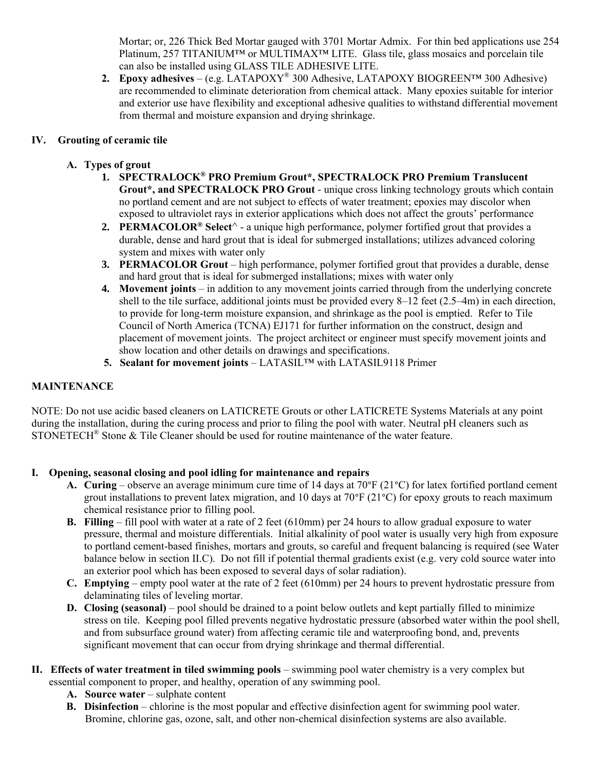Mortar; or, 226 Thick Bed Mortar gauged with 3701 Mortar Admix. For thin bed applications use 254 Platinum, 257 TITANIUM™ or MULTIMAX™ LITE. Glass tile, glass mosaics and porcelain tile can also be installed using GLASS TILE ADHESIVE LITE.

**2. Epoxy adhesives** – (e.g. LATAPOXY® 300 Adhesive, LATAPOXY BIOGREEN™ 300 Adhesive) are recommended to eliminate deterioration from chemical attack. Many epoxies suitable for interior and exterior use have flexibility and exceptional adhesive qualities to withstand differential movement from thermal and moisture expansion and drying shrinkage.

# **IV. Grouting of ceramic tile**

# **A. Types of grout**

- **1. SPECTRALOCK® PRO Premium Grout\*, SPECTRALOCK PRO Premium Translucent Grout\*, and SPECTRALOCK PRO Grout** - unique cross linking technology grouts which contain no portland cement and are not subject to effects of water treatment; epoxies may discolor when exposed to ultraviolet rays in exterior applications which does not affect the grouts' performance
- **2. PERMACOLOR® Select**^ a unique high performance, polymer fortified grout that provides a durable, dense and hard grout that is ideal for submerged installations; utilizes advanced coloring system and mixes with water only
- **3. PERMACOLOR Grout** high performance, polymer fortified grout that provides a durable, dense and hard grout that is ideal for submerged installations; mixes with water only
- **4. Movement joints** in addition to any movement joints carried through from the underlying concrete shell to the tile surface, additional joints must be provided every 8–12 feet (2.5–4m) in each direction, to provide for long-term moisture expansion, and shrinkage as the pool is emptied. Refer to Tile Council of North America (TCNA) EJ171 for further information on the construct, design and placement of movement joints. The project architect or engineer must specify movement joints and show location and other details on drawings and specifications.
- **5. Sealant for movement joints** LATASIL™ with LATASIL9118 Primer

### **MAINTENANCE**

NOTE: Do not use acidic based cleaners on LATICRETE Grouts or other LATICRETE Systems Materials at any point during the installation, during the curing process and prior to filing the pool with water. Neutral pH cleaners such as STONETECH<sup>®</sup> Stone & Tile Cleaner should be used for routine maintenance of the water feature.

# **I. Opening, seasonal closing and pool idling for maintenance and repairs**

- **A. Curing** observe an average minimum cure time of 14 days at 70°F (21°C) for latex fortified portland cement grout installations to prevent latex migration, and 10 days at 70 $\degree$ F (21 $\degree$ C) for epoxy grouts to reach maximum chemical resistance prior to filling pool.
- **B. Filling** fill pool with water at a rate of 2 feet (610mm) per 24 hours to allow gradual exposure to water pressure, thermal and moisture differentials. Initial alkalinity of pool water is usually very high from exposure to portland cement-based finishes, mortars and grouts, so careful and frequent balancing is required (see Water balance below in section II.C). Do not fill if potential thermal gradients exist (e.g. very cold source water into an exterior pool which has been exposed to several days of solar radiation).
- **C. Emptying**  empty pool water at the rate of 2 feet (610mm) per 24 hours to prevent hydrostatic pressure from delaminating tiles of leveling mortar.
- **D. Closing (seasonal)** pool should be drained to a point below outlets and kept partially filled to minimize stress on tile. Keeping pool filled prevents negative hydrostatic pressure (absorbed water within the pool shell, and from subsurface ground water) from affecting ceramic tile and waterproofing bond, and, prevents significant movement that can occur from drying shrinkage and thermal differential.
- **II. Effects of water treatment in tiled swimming pools** swimming pool water chemistry is a very complex but essential component to proper, and healthy, operation of any swimming pool.
	- **A. Source water** sulphate content
	- **B. Disinfection** chlorine is the most popular and effective disinfection agent for swimming pool water. Bromine, chlorine gas, ozone, salt, and other non-chemical disinfection systems are also available.